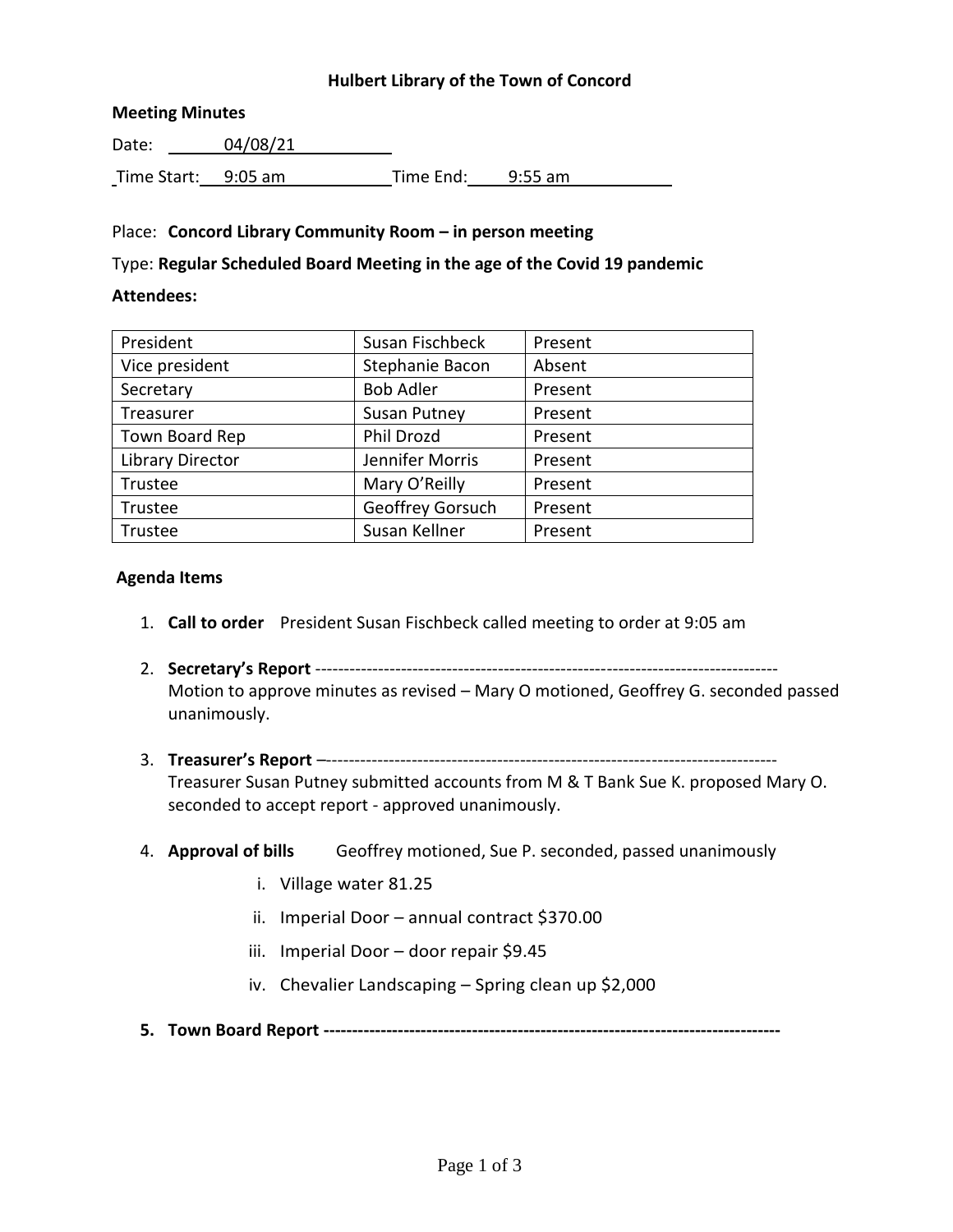### **Hulbert Library of the Town of Concord**

#### **Meeting Minutes**

Date: 04/08/21 Time Start: 9:05 am Time End: 9:55 am

### Place: **Concord Library Community Room – in person meeting**

### Type: **Regular Scheduled Board Meeting in the age of the Covid 19 pandemic**

### **Attendees:**

| President               | Susan Fischbeck     | Present |
|-------------------------|---------------------|---------|
| Vice president          | Stephanie Bacon     | Absent  |
| Secretary               | <b>Bob Adler</b>    | Present |
| Treasurer               | <b>Susan Putney</b> | Present |
| Town Board Rep          | Phil Drozd          | Present |
| <b>Library Director</b> | Jennifer Morris     | Present |
| Trustee                 | Mary O'Reilly       | Present |
| Trustee                 | Geoffrey Gorsuch    | Present |
| Trustee                 | Susan Kellner       | Present |

#### **Agenda Items**

- 1. **Call to order** President Susan Fischbeck called meeting to order at 9:05 am
- 2. **Secretary's Report** --------------------------------------------------------------------------------- Motion to approve minutes as revised – Mary O motioned, Geoffrey G. seconded passed unanimously.
- 3. **Treasurer's Report** –------------------------------------------------------------------------------- Treasurer Susan Putney submitted accounts from M & T Bank Sue K. proposed Mary O. seconded to accept report - approved unanimously.
- 4. **Approval of bills** Geoffrey motioned, Sue P. seconded, passed unanimously
	- i. Village water 81.25
	- ii. Imperial Door annual contract \$370.00
	- iii. Imperial Door door repair \$9.45
	- iv. Chevalier Landscaping Spring clean up \$2,000
- **5. Town Board Report --------------------------------------------------------------------------------**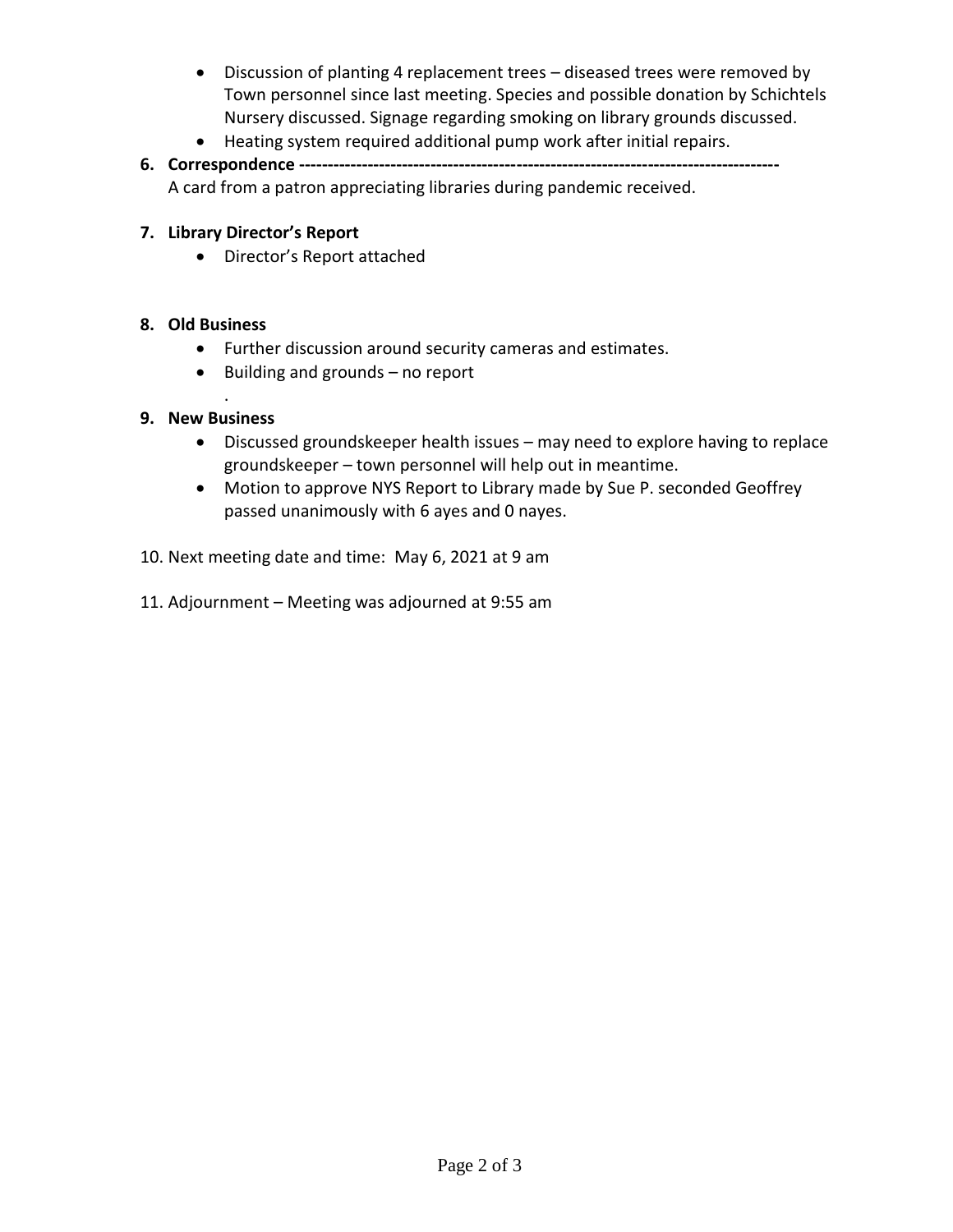- Discussion of planting 4 replacement trees diseased trees were removed by Town personnel since last meeting. Species and possible donation by Schichtels Nursery discussed. Signage regarding smoking on library grounds discussed.
- Heating system required additional pump work after initial repairs.
- **6. Correspondence ------------------------------------------------------------------------------------** A card from a patron appreciating libraries during pandemic received.

## **7. Library Director's Report**

Director's Report attached

# **8. Old Business**

- Further discussion around security cameras and estimates.
- $\bullet$  Building and grounds no report

## **9. New Business**

.

- Discussed groundskeeper health issues may need to explore having to replace groundskeeper – town personnel will help out in meantime.
- Motion to approve NYS Report to Library made by Sue P. seconded Geoffrey passed unanimously with 6 ayes and 0 nayes.
- 10. Next meeting date and time: May 6, 2021 at 9 am
- 11. Adjournment Meeting was adjourned at 9:55 am